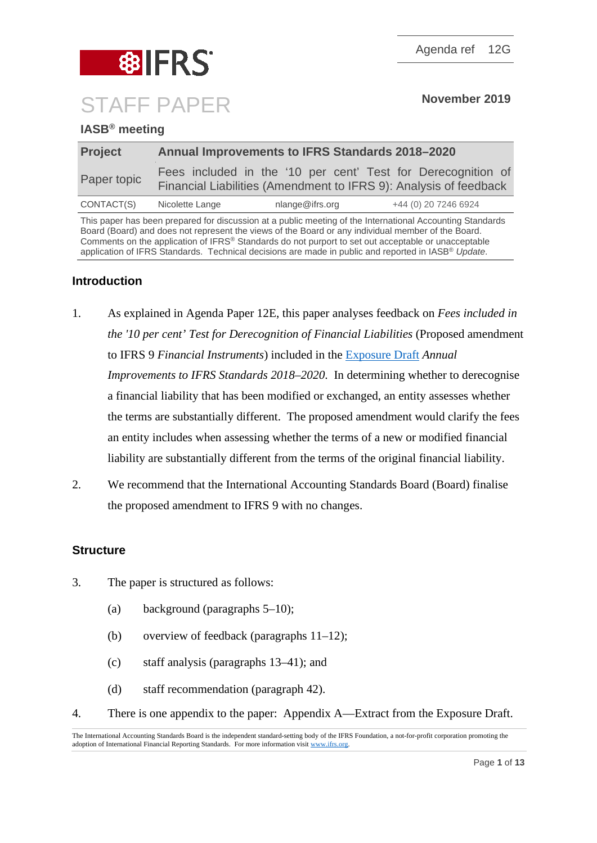

CONTACT(S) Nicolette Lange nlange@ifrs.org +44 (0) 20 7246 6924

This paper has been prepared for discussion at a public meeting of the International Accounting Standards Board (Board) and does not represent the views of the Board or any individual member of the Board. Comments on the application of IFRS® Standards do not purport to set out acceptable or unacceptable application of IFRS Standards. Technical decisions are made in public and reported in IASB® *Update*.

Financial Liabilities (Amendment to IFRS 9): Analysis of feedback

Agenda ref 12G

# **Introduction**

- 1. As explained in Agenda Paper 12E, this paper analyses feedback on *Fees included in the '10 per cent' Test for Derecognition of Financial Liabilities* (Proposed amendment to IFRS 9 *Financial Instruments*) included in the [Exposure Draft](https://www.ifrs.org/-/media/project/annual-improvements-2018-2020/ed-annual-improvements-2018-2020.pdf) *Annual Improvements to IFRS Standards 2018–2020*. In determining whether to derecognise a financial liability that has been modified or exchanged, an entity assesses whether the terms are substantially different. The proposed amendment would clarify the fees an entity includes when assessing whether the terms of a new or modified financial liability are substantially different from the terms of the original financial liability.
- 2. We recommend that the International Accounting Standards Board (Board) finalise the proposed amendment to IFRS 9 with no changes.

#### **Structure**

- 3. The paper is structured as follows:
	- (a) background (paragraphs [5](#page-1-0)[–10\)](#page-2-0);
	- (b) overview of feedback (paragraphs [11–](#page-2-1)[12\)](#page-2-2);
	- (c) staff analysis (paragraphs [13](#page-3-0)[–41\)](#page-9-0); and
	- (d) staff recommendation (paragraph [42\)](#page-11-0).
- 4. There is one appendix to the paper: Appendix A—Extract from the Exposure Draft.

The International Accounting Standards Board is the independent standard-setting body of the IFRS Foundation, a not-for-profit corporation promoting the adoption of International Financial Reporting Standards. For more information visi[t www.ifrs.org.](http://www.ifrs.org/)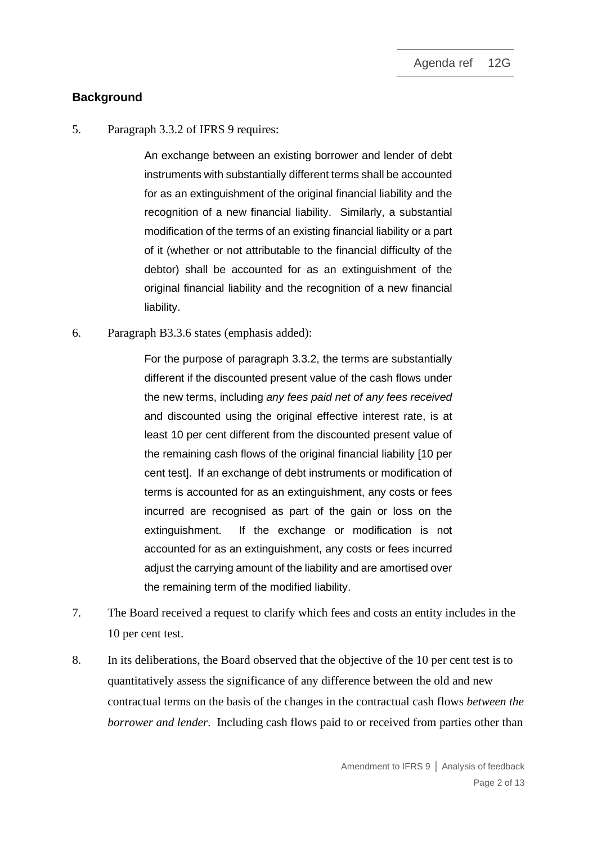## **Background**

<span id="page-1-0"></span>5. Paragraph 3.3.2 of IFRS 9 requires:

An exchange between an existing borrower and lender of debt instruments with substantially different terms shall be accounted for as an extinguishment of the original financial liability and the recognition of a new financial liability. Similarly, a substantial modification of the terms of an existing financial liability or a part of it (whether or not attributable to the financial difficulty of the debtor) shall be accounted for as an extinguishment of the original financial liability and the recognition of a new financial liability.

6. Paragraph B3.3.6 states (emphasis added):

For the purpose of paragraph 3.3.2, the terms are substantially different if the discounted present value of the cash flows under the new terms, including *any fees paid net of any fees received* and discounted using the original effective interest rate, is at least 10 per cent different from the discounted present value of the remaining cash flows of the original financial liability [10 per cent test]. If an exchange of debt instruments or modification of terms is accounted for as an extinguishment, any costs or fees incurred are recognised as part of the gain or loss on the extinguishment. If the exchange or modification is not accounted for as an extinguishment, any costs or fees incurred adjust the carrying amount of the liability and are amortised over the remaining term of the modified liability.

- 7. The Board received a request to clarify which fees and costs an entity includes in the 10 per cent test.
- <span id="page-1-1"></span>8. In its deliberations, the Board observed that the objective of the 10 per cent test is to quantitatively assess the significance of any difference between the old and new contractual terms on the basis of the changes in the contractual cash flows *between the borrower and lender*. Including cash flows paid to or received from parties other than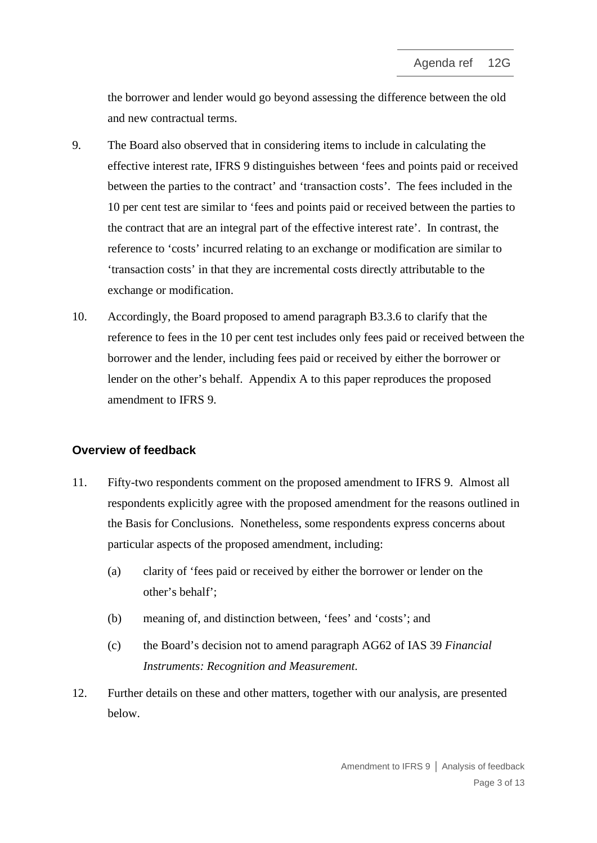the borrower and lender would go beyond assessing the difference between the old and new contractual terms.

- <span id="page-2-3"></span>9. The Board also observed that in considering items to include in calculating the effective interest rate, IFRS 9 distinguishes between 'fees and points paid or received between the parties to the contract' and 'transaction costs'. The fees included in the 10 per cent test are similar to 'fees and points paid or received between the parties to the contract that are an integral part of the effective interest rate'. In contrast, the reference to 'costs' incurred relating to an exchange or modification are similar to 'transaction costs' in that they are incremental costs directly attributable to the exchange or modification.
- <span id="page-2-0"></span>10. Accordingly, the Board proposed to amend paragraph B3.3.6 to clarify that the reference to fees in the 10 per cent test includes only fees paid or received between the borrower and the lender, including fees paid or received by either the borrower or lender on the other's behalf. Appendix A to this paper reproduces the proposed amendment to IFRS 9.

#### **Overview of feedback**

- <span id="page-2-1"></span>11. Fifty-two respondents comment on the proposed amendment to IFRS 9. Almost all respondents explicitly agree with the proposed amendment for the reasons outlined in the Basis for Conclusions. Nonetheless, some respondents express concerns about particular aspects of the proposed amendment, including:
	- (a) clarity of 'fees paid or received by either the borrower or lender on the other's behalf';
	- (b) meaning of, and distinction between, 'fees' and 'costs'; and
	- (c) the Board's decision not to amend paragraph AG62 of IAS 39 *Financial Instruments: Recognition and Measurement*.
- <span id="page-2-2"></span>12. Further details on these and other matters, together with our analysis, are presented below.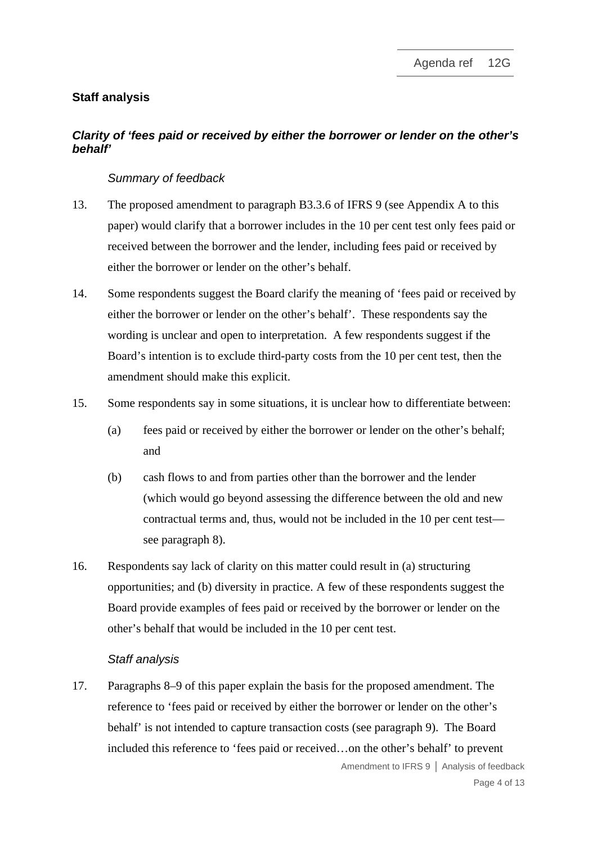## **Staff analysis**

## *Clarity of 'fees paid or received by either the borrower or lender on the other's behalf'*

#### *Summary of feedback*

- <span id="page-3-0"></span>13. The proposed amendment to paragraph B3.3.6 of IFRS 9 (see Appendix A to this paper) would clarify that a borrower includes in the 10 per cent test only fees paid or received between the borrower and the lender, including fees paid or received by either the borrower or lender on the other's behalf.
- 14. Some respondents suggest the Board clarify the meaning of 'fees paid or received by either the borrower or lender on the other's behalf'. These respondents say the wording is unclear and open to interpretation. A few respondents suggest if the Board's intention is to exclude third-party costs from the 10 per cent test, then the amendment should make this explicit.
- 15. Some respondents say in some situations, it is unclear how to differentiate between:
	- (a) fees paid or received by either the borrower or lender on the other's behalf; and
	- (b) cash flows to and from parties other than the borrower and the lender (which would go beyond assessing the difference between the old and new contractual terms and, thus, would not be included in the 10 per cent test see paragraph [8\)](#page-1-1).
- 16. Respondents say lack of clarity on this matter could result in (a) structuring opportunities; and (b) diversity in practice. A few of these respondents suggest the Board provide examples of fees paid or received by the borrower or lender on the other's behalf that would be included in the 10 per cent test.

#### *Staff analysis*

17. Paragraphs [8–](#page-1-1)[9](#page-2-3) of this paper explain the basis for the proposed amendment. The reference to 'fees paid or received by either the borrower or lender on the other's behalf' is not intended to capture transaction costs (see paragraph [9\)](#page-2-3). The Board included this reference to 'fees paid or received…on the other's behalf' to prevent

Amendment to IFRS 9 **│** Analysis of feedback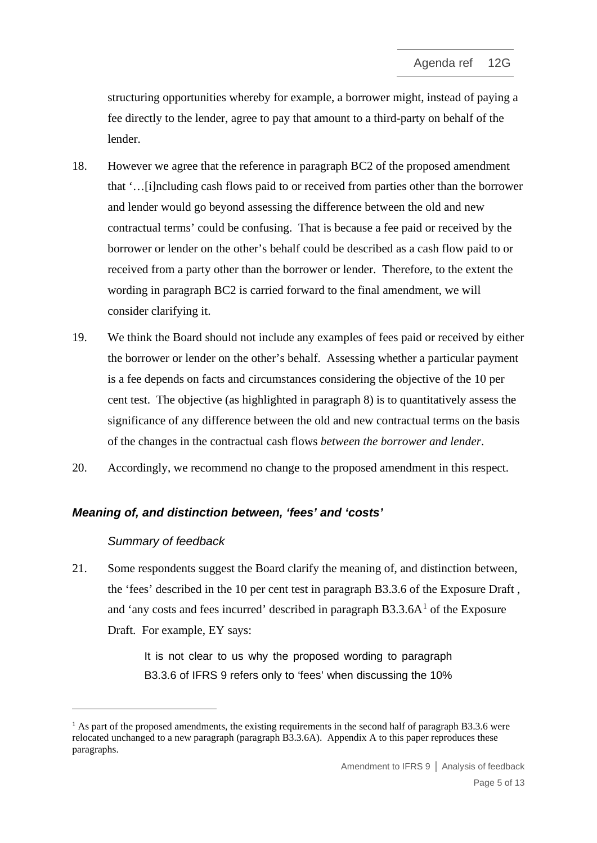structuring opportunities whereby for example, a borrower might, instead of paying a fee directly to the lender, agree to pay that amount to a third-party on behalf of the lender.

- 18. However we agree that the reference in paragraph BC2 of the proposed amendment that '…[i]ncluding cash flows paid to or received from parties other than the borrower and lender would go beyond assessing the difference between the old and new contractual terms' could be confusing. That is because a fee paid or received by the borrower or lender on the other's behalf could be described as a cash flow paid to or received from a party other than the borrower or lender. Therefore, to the extent the wording in paragraph BC2 is carried forward to the final amendment, we will consider clarifying it.
- 19. We think the Board should not include any examples of fees paid or received by either the borrower or lender on the other's behalf. Assessing whether a particular payment is a fee depends on facts and circumstances considering the objective of the 10 per cent test. The objective (as highlighted in paragraph [8\)](#page-1-1) is to quantitatively assess the significance of any difference between the old and new contractual terms on the basis of the changes in the contractual cash flows *between the borrower and lender*.
- 20. Accordingly, we recommend no change to the proposed amendment in this respect.

## *Meaning of, and distinction between, 'fees' and 'costs'*

#### *Summary of feedback*

21. Some respondents suggest the Board clarify the meaning of, and distinction between, the 'fees' described in the 10 per cent test in paragraph B3.3.6 of the Exposure Draft , and 'any costs and fees incurred' described in paragraph  $B3.3.6A<sup>1</sup>$  $B3.3.6A<sup>1</sup>$  $B3.3.6A<sup>1</sup>$  of the Exposure Draft. For example, EY says:

> It is not clear to us why the proposed wording to paragraph B3.3.6 of IFRS 9 refers only to 'fees' when discussing the 10%

<span id="page-4-0"></span> $1$  As part of the proposed amendments, the existing requirements in the second half of paragraph B3.3.6 were relocated unchanged to a new paragraph (paragraph B3.3.6A). Appendix A to this paper reproduces these paragraphs.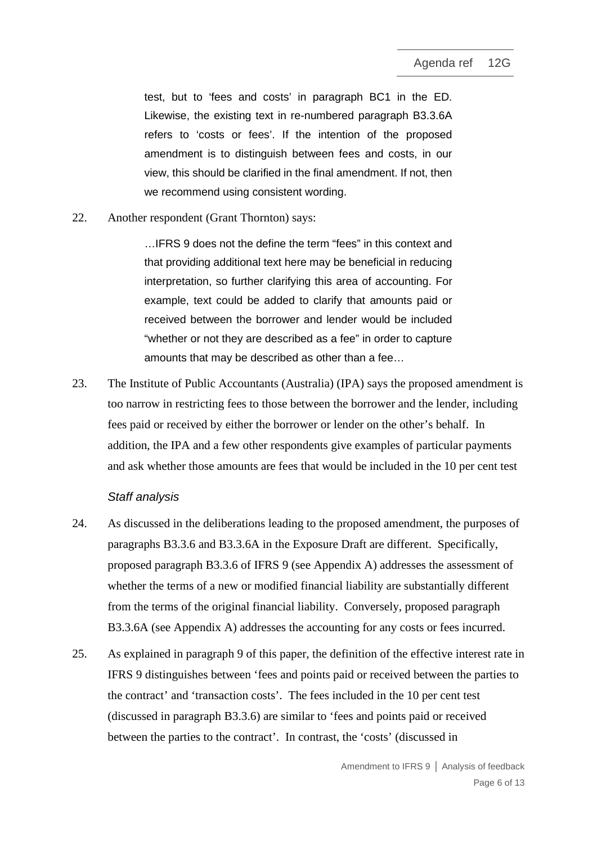test, but to 'fees and costs' in paragraph BC1 in the ED. Likewise, the existing text in re-numbered paragraph B3.3.6A refers to 'costs or fees'. If the intention of the proposed amendment is to distinguish between fees and costs, in our view, this should be clarified in the final amendment. If not, then we recommend using consistent wording.

22. Another respondent (Grant Thornton) says:

…IFRS 9 does not the define the term "fees" in this context and that providing additional text here may be beneficial in reducing interpretation, so further clarifying this area of accounting. For example, text could be added to clarify that amounts paid or received between the borrower and lender would be included "whether or not they are described as a fee" in order to capture amounts that may be described as other than a fee…

23. The Institute of Public Accountants (Australia) (IPA) says the proposed amendment is too narrow in restricting fees to those between the borrower and the lender, including fees paid or received by either the borrower or lender on the other's behalf. In addition, the IPA and a few other respondents give examples of particular payments and ask whether those amounts are fees that would be included in the 10 per cent test

#### *Staff analysis*

- 24. As discussed in the deliberations leading to the proposed amendment, the purposes of paragraphs B3.3.6 and B3.3.6A in the Exposure Draft are different. Specifically, proposed paragraph B3.3.6 of IFRS 9 (see Appendix A) addresses the assessment of whether the terms of a new or modified financial liability are substantially different from the terms of the original financial liability. Conversely, proposed paragraph B3.3.6A (see Appendix A) addresses the accounting for any costs or fees incurred.
- 25. As explained in paragraph [9](#page-2-3) of this paper, the definition of the effective interest rate in IFRS 9 distinguishes between 'fees and points paid or received between the parties to the contract' and 'transaction costs'. The fees included in the 10 per cent test (discussed in paragraph B3.3.6) are similar to 'fees and points paid or received between the parties to the contract'. In contrast, the 'costs' (discussed in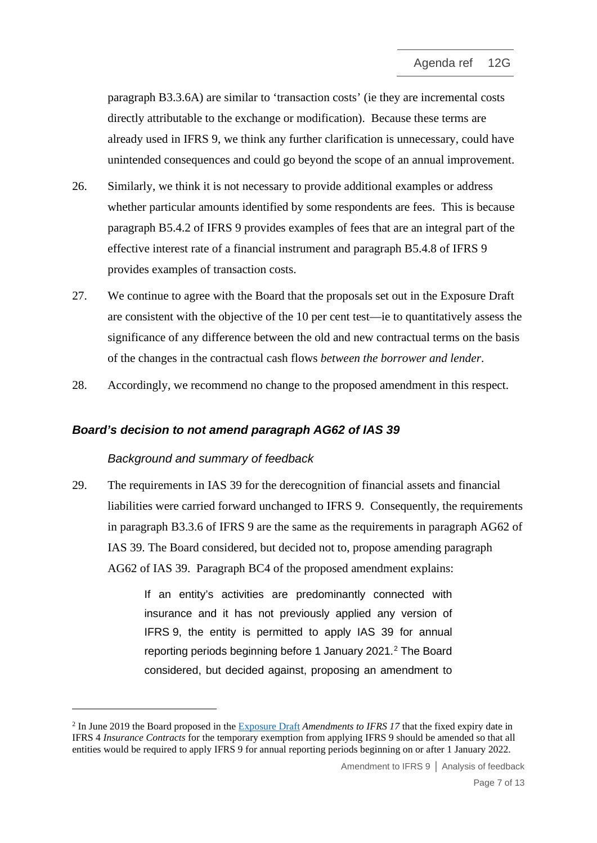paragraph B3.3.6A) are similar to 'transaction costs' (ie they are incremental costs directly attributable to the exchange or modification). Because these terms are already used in IFRS 9, we think any further clarification is unnecessary, could have unintended consequences and could go beyond the scope of an annual improvement.

- 26. Similarly, we think it is not necessary to provide additional examples or address whether particular amounts identified by some respondents are fees. This is because paragraph B5.4.2 of IFRS 9 provides examples of fees that are an integral part of the effective interest rate of a financial instrument and paragraph B5.4.8 of IFRS 9 provides examples of transaction costs.
- 27. We continue to agree with the Board that the proposals set out in the Exposure Draft are consistent with the objective of the 10 per cent test—ie to quantitatively assess the significance of any difference between the old and new contractual terms on the basis of the changes in the contractual cash flows *between the borrower and lender*.
- 28. Accordingly, we recommend no change to the proposed amendment in this respect.

#### *Board's decision to not amend paragraph AG62 of IAS 39*

#### *Background and summary of feedback*

<span id="page-6-1"></span>29. The requirements in IAS 39 for the derecognition of financial assets and financial liabilities were carried forward unchanged to IFRS 9. Consequently, the requirements in paragraph B3.3.6 of IFRS 9 are the same as the requirements in paragraph AG62 of IAS 39. The Board considered, but decided not to, propose amending paragraph AG62 of IAS 39. Paragraph BC4 of the proposed amendment explains:

> If an entity's activities are predominantly connected with insurance and it has not previously applied any version of IFRS 9, the entity is permitted to apply IAS 39 for annual reporting periods beginning before 1 January [2](#page-6-0)021.<sup>2</sup> The Board considered, but decided against, proposing an amendment to

<span id="page-6-0"></span><sup>2</sup> In June 2019 the Board proposed in th[e Exposure Draft](https://www.ifrs.org/-/media/project/annual-improvements-2018-2020/ed-annual-improvements-2018-2020.pdf) *Amendments to IFRS 17* that the fixed expiry date in IFRS 4 *Insurance Contracts* for the temporary exemption from applying IFRS 9 should be amended so that all entities would be required to apply IFRS 9 for annual reporting periods beginning on or after 1 January 2022.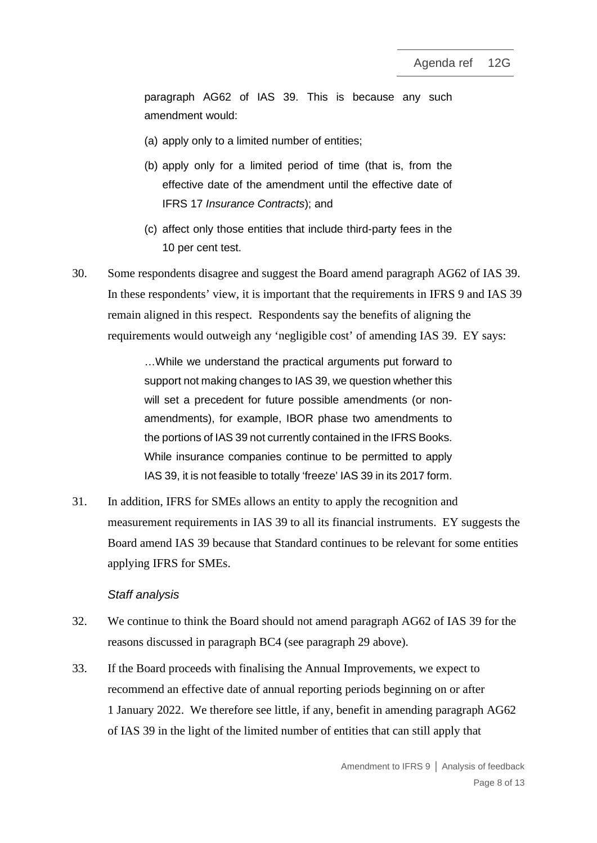paragraph AG62 of IAS 39. This is because any such amendment would:

- (a) apply only to a limited number of entities;
- (b) apply only for a limited period of time (that is, from the effective date of the amendment until the effective date of IFRS 17 *Insurance Contracts*); and
- (c) affect only those entities that include third-party fees in the 10 per cent test.
- 30. Some respondents disagree and suggest the Board amend paragraph AG62 of IAS 39. In these respondents' view, it is important that the requirements in IFRS 9 and IAS 39 remain aligned in this respect. Respondents say the benefits of aligning the requirements would outweigh any 'negligible cost' of amending IAS 39. EY says:

…While we understand the practical arguments put forward to support not making changes to IAS 39, we question whether this will set a precedent for future possible amendments (or nonamendments), for example, IBOR phase two amendments to the portions of IAS 39 not currently contained in the IFRS Books. While insurance companies continue to be permitted to apply IAS 39, it is not feasible to totally 'freeze' IAS 39 in its 2017 form.

31. In addition, IFRS for SMEs allows an entity to apply the recognition and measurement requirements in IAS 39 to all its financial instruments. EY suggests the Board amend IAS 39 because that Standard continues to be relevant for some entities applying IFRS for SMEs.

#### *Staff analysis*

- 32. We continue to think the Board should not amend paragraph AG62 of IAS 39 for the reasons discussed in paragraph BC4 (see paragraph [29](#page-6-1) above).
- <span id="page-7-0"></span>33. If the Board proceeds with finalising the Annual Improvements, we expect to recommend an effective date of annual reporting periods beginning on or after 1 January 2022. We therefore see little, if any, benefit in amending paragraph AG62 of IAS 39 in the light of the limited number of entities that can still apply that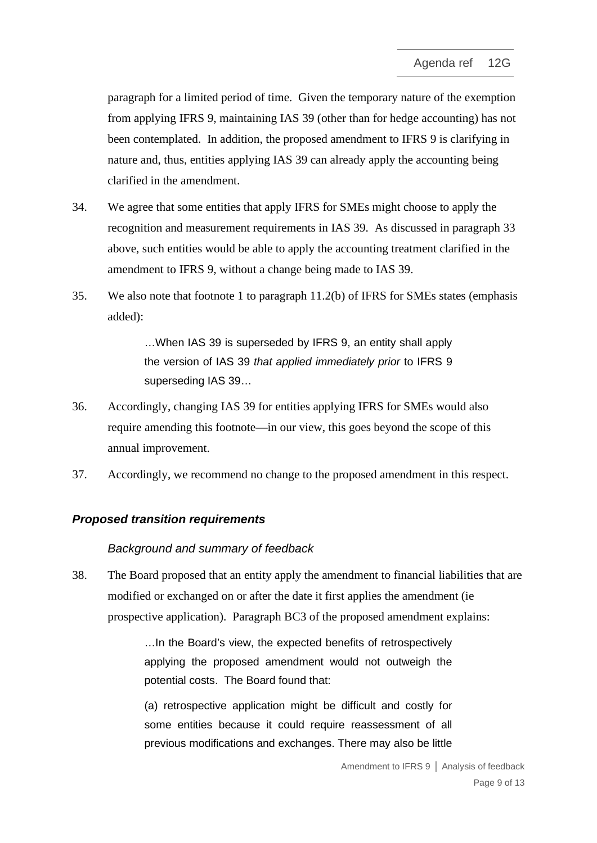paragraph for a limited period of time. Given the temporary nature of the exemption from applying IFRS 9, maintaining IAS 39 (other than for hedge accounting) has not been contemplated. In addition, the proposed amendment to IFRS 9 is clarifying in nature and, thus, entities applying IAS 39 can already apply the accounting being clarified in the amendment.

- 34. We agree that some entities that apply IFRS for SMEs might choose to apply the recognition and measurement requirements in IAS 39. As discussed in paragraph [33](#page-7-0) above, such entities would be able to apply the accounting treatment clarified in the amendment to IFRS 9, without a change being made to IAS 39.
- 35. We also note that footnote 1 to paragraph 11.2(b) of IFRS for SMEs states (emphasis added):

…When IAS 39 is superseded by IFRS 9, an entity shall apply the version of IAS 39 *that applied immediately prior* to IFRS 9 superseding IAS 39…

- 36. Accordingly, changing IAS 39 for entities applying IFRS for SMEs would also require amending this footnote—in our view, this goes beyond the scope of this annual improvement.
- 37. Accordingly, we recommend no change to the proposed amendment in this respect.

#### *Proposed transition requirements*

#### *Background and summary of feedback*

38. The Board proposed that an entity apply the amendment to financial liabilities that are modified or exchanged on or after the date it first applies the amendment (ie prospective application). Paragraph BC3 of the proposed amendment explains:

> …In the Board's view, the expected benefits of retrospectively applying the proposed amendment would not outweigh the potential costs. The Board found that:

> (a) retrospective application might be difficult and costly for some entities because it could require reassessment of all previous modifications and exchanges. There may also be little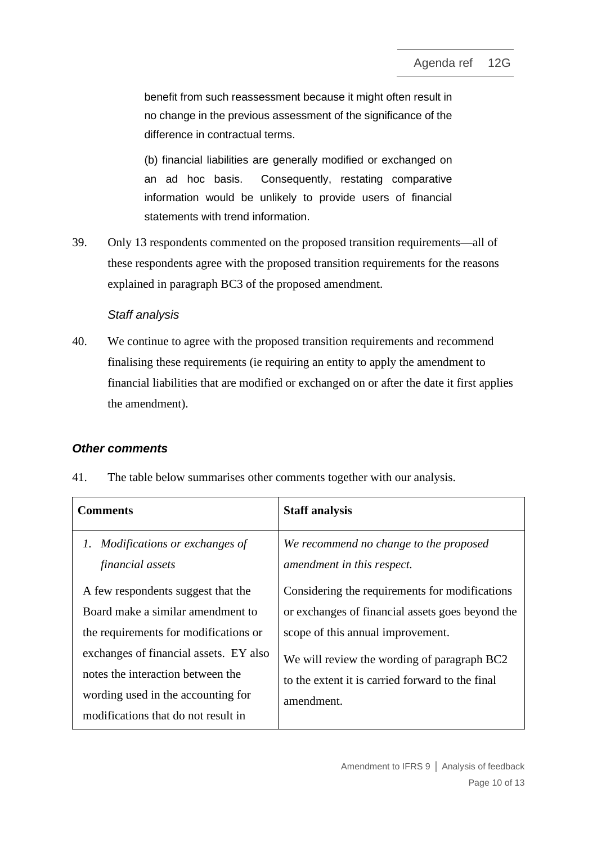benefit from such reassessment because it might often result in no change in the previous assessment of the significance of the difference in contractual terms.

(b) financial liabilities are generally modified or exchanged on an ad hoc basis. Consequently, restating comparative information would be unlikely to provide users of financial statements with trend information.

39. Only 13 respondents commented on the proposed transition requirements—all of these respondents agree with the proposed transition requirements for the reasons explained in paragraph BC3 of the proposed amendment.

## *Staff analysis*

40. We continue to agree with the proposed transition requirements and recommend finalising these requirements (ie requiring an entity to apply the amendment to financial liabilities that are modified or exchanged on or after the date it first applies the amendment).

## *Other comments*

<span id="page-9-0"></span>41. The table below summarises other comments together with our analysis.

| <b>Comments</b>                                                             | <b>Staff analysis</b>                                                |
|-----------------------------------------------------------------------------|----------------------------------------------------------------------|
| Modifications or exchanges of<br>Ι.<br>financial assets                     | We recommend no change to the proposed<br>amendment in this respect. |
| A few respondents suggest that the                                          | Considering the requirements for modifications                       |
| Board make a similar amendment to                                           | or exchanges of financial assets goes beyond the                     |
| the requirements for modifications or                                       | scope of this annual improvement.                                    |
| exchanges of financial assets. EY also<br>notes the interaction between the | We will review the wording of paragraph BC2                          |
|                                                                             | to the extent it is carried forward to the final                     |
| wording used in the accounting for                                          | amendment.                                                           |
| modifications that do not result in                                         |                                                                      |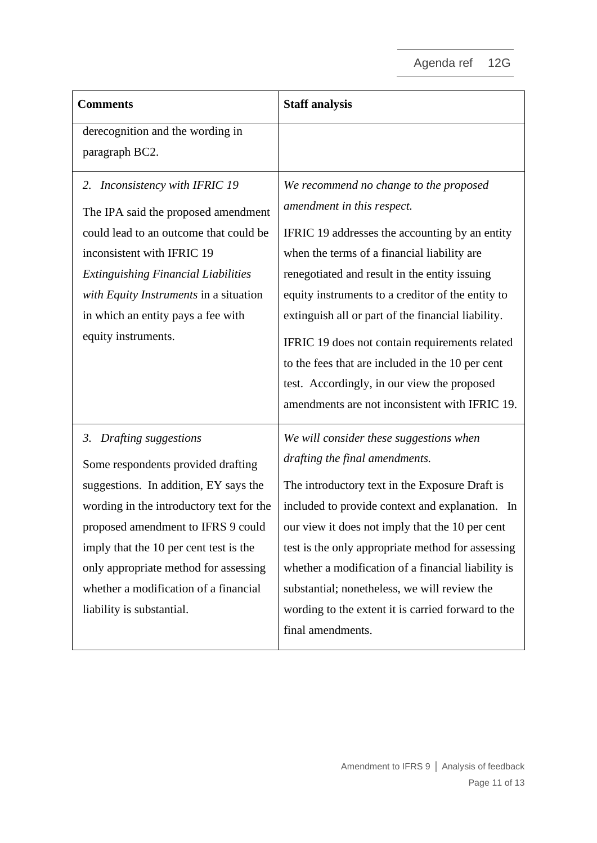| <b>Comments</b>                                                          | <b>Staff analysis</b>                                                                        |
|--------------------------------------------------------------------------|----------------------------------------------------------------------------------------------|
| derecognition and the wording in                                         |                                                                                              |
| paragraph BC2.                                                           |                                                                                              |
| Inconsistency with IFRIC 19<br>2.                                        | We recommend no change to the proposed                                                       |
| The IPA said the proposed amendment                                      | amendment in this respect.                                                                   |
| could lead to an outcome that could be                                   | IFRIC 19 addresses the accounting by an entity                                               |
| inconsistent with IFRIC 19<br><b>Extinguishing Financial Liabilities</b> | when the terms of a financial liability are<br>renegotiated and result in the entity issuing |
| with Equity Instruments in a situation                                   | equity instruments to a creditor of the entity to                                            |
| in which an entity pays a fee with                                       | extinguish all or part of the financial liability.                                           |
| equity instruments.                                                      | IFRIC 19 does not contain requirements related                                               |
|                                                                          | to the fees that are included in the 10 per cent                                             |
|                                                                          | test. Accordingly, in our view the proposed                                                  |
|                                                                          | amendments are not inconsistent with IFRIC 19.                                               |
| 3. Drafting suggestions                                                  | We will consider these suggestions when                                                      |
| Some respondents provided drafting                                       | drafting the final amendments.                                                               |
| suggestions. In addition, EY says the                                    | The introductory text in the Exposure Draft is                                               |
| wording in the introductory text for the                                 | included to provide context and explanation. In                                              |
| proposed amendment to IFRS 9 could                                       | our view it does not imply that the 10 per cent                                              |
| imply that the 10 per cent test is the                                   | test is the only appropriate method for assessing                                            |
| only appropriate method for assessing                                    | whether a modification of a financial liability is                                           |
| whether a modification of a financial                                    | substantial; nonetheless, we will review the                                                 |
| liability is substantial.                                                | wording to the extent it is carried forward to the                                           |
|                                                                          | final amendments.                                                                            |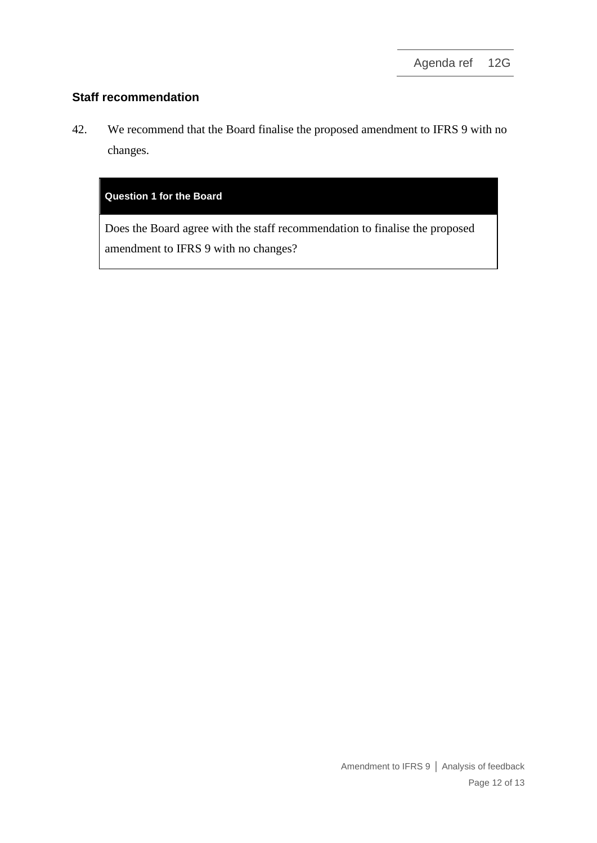## **Staff recommendation**

<span id="page-11-0"></span>42. We recommend that the Board finalise the proposed amendment to IFRS 9 with no changes.

#### **Question 1 for the Board**

Does the Board agree with the staff recommendation to finalise the proposed amendment to IFRS 9 with no changes?